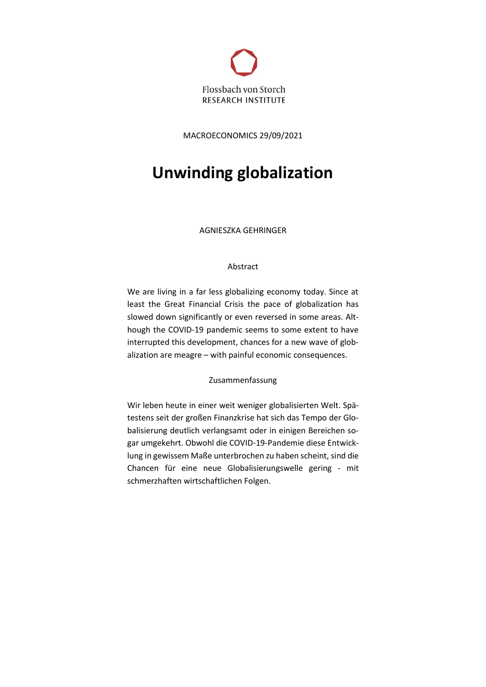

MACROECONOMICS 29/09/2021

# **Unwinding globalization**

AGNIESZKA GEHRINGER

# Abstract

We are living in a far less globalizing economy today. Since at least the Great Financial Crisis the pace of globalization has slowed down significantly or even reversed in some areas. Although the COVID-19 pandemic seems to some extent to have interrupted this development, chances for a new wave of globalization are meagre – with painful economic consequences.

# Zusammenfassung

Wir leben heute in einer weit weniger globalisierten Welt. Spätestens seit der großen Finanzkrise hat sich das Tempo der Globalisierung deutlich verlangsamt oder in einigen Bereichen sogar umgekehrt. Obwohl die COVID-19-Pandemie diese Entwicklung in gewissem Maße unterbrochen zu haben scheint, sind die Chancen für eine neue Globalisierungswelle gering - mit schmerzhaften wirtschaftlichen Folgen.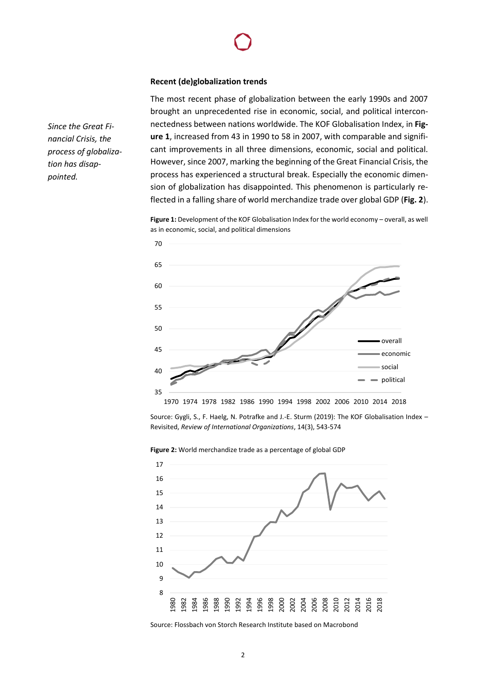# **Recent (de)globalization trends**

The most recent phase of globalization between the early 1990s and 2007 brought an unprecedented rise in economic, social, and political interconnectedness between nations worldwide. The KOF Globalisation Index, in **Figure 1**, increased from 43 in 1990 to 58 in 2007, with comparable and significant improvements in all three dimensions, economic, social and political. However, since 2007, marking the beginning of the Great Financial Crisis, the process has experienced a structural break. Especially the economic dimension of globalization has disappointed. This phenomenon is particularly reflected in a falling share of world merchandize trade over global GDP (**Fig. 2**).

**Figure 1:** Development of the KOF Globalisation Index for the world economy – overall, as well as in economic, social, and political dimensions



1970 1974 1978 1982 1986 1990 1994 1998 2002 2006 2010 2014 2018

Source: Gygli, S., F. Haelg, N. Potrafke and J.-E. Sturm (2019): The KOF Globalisation Index – Revisited, *Review of International Organizations*, 14(3), 543-574

8 9 10 11 12 13 14 15 16 17 1980 1982 1984 1986 1988 1990 1992 1994 1996 1998 2000 2002 2004 2006 2008 2010 2012 2014 2016 2018

**Figure 2:** World merchandize trade as a percentage of global GDP

Source: Flossbach von Storch Research Institute based on Macrobond

*Since the Great Financial Crisis, the process of globalization has disappointed.*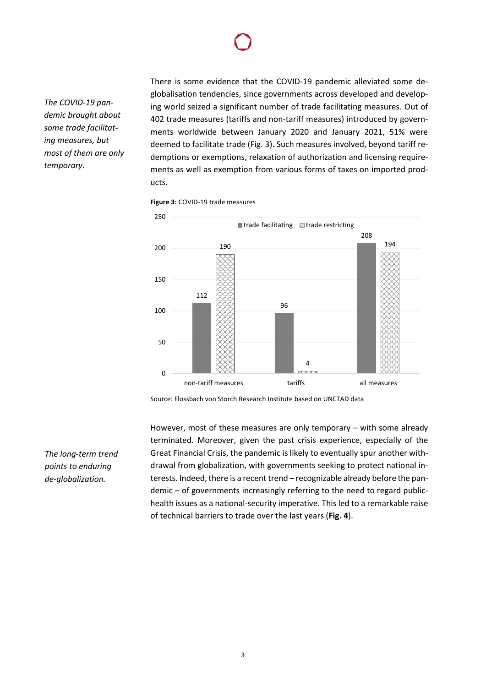*The COVID-19 pandemic brought about some trade facilitating measures, but most of them are only temporary.*

There is some evidence that the COVID-19 pandemic alleviated some deglobalisation tendencies, since governments across developed and developing world seized a significant number of trade facilitating measures. Out of 402 trade measures (tariffs and non-tariff measures) introduced by governments worldwide between January 2020 and January 2021, 51% were deemed to facilitate trade (Fig. 3). Such measures involved, beyond tariff redemptions or exemptions, relaxation of authorization and licensing requirements as well as exemption from various forms of taxes on imported products.

**Figure 3:** COVID-19 trade measures



Source: Flossbach von Storch Research Institute based on UNCTAD data

However, most of these measures are only temporary – with some already terminated. Moreover, given the past crisis experience, especially of the Great Financial Crisis, the pandemic is likely to eventually spur another withdrawal from globalization, with governments seeking to protect national interests. Indeed, there is a recent trend – recognizable already before the pandemic – of governments increasingly referring to the need to regard publichealth issues as a national-security imperative. This led to a remarkable raise of technical barriers to trade over the last years (**Fig. 4**).

*The long-term trend points to enduring de-globalization.*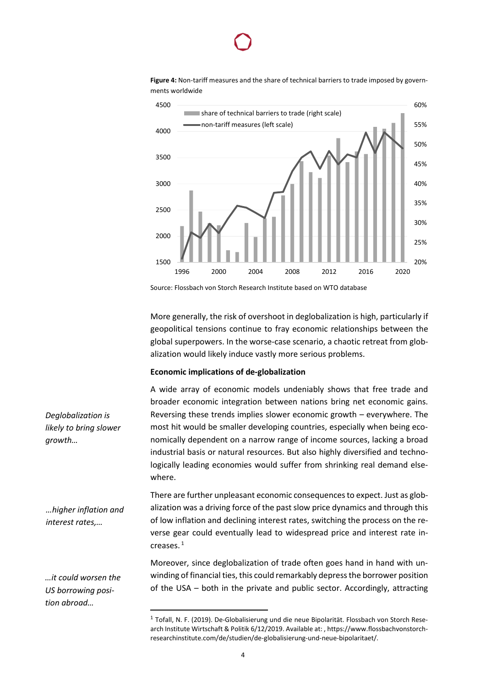

**Figure 4:** Non-tariff measures and the share of technical barriers to trade imposed by governments worldwide

Source: Flossbach von Storch Research Institute based on WTO database

More generally, the risk of overshoot in deglobalization is high, particularly if geopolitical tensions continue to fray economic relationships between the global superpowers. In the worse-case scenario, a chaotic retreat from globalization would likely induce vastly more serious problems.

1996 2000 2004 2008 2012 2016 2020

20%

25%

30%

35%

## **Economic implications of de-globalization**

1500

2000

2500

A wide array of economic models undeniably shows that free trade and broader economic integration between nations bring net economic gains. Reversing these trends implies slower economic growth – everywhere. The most hit would be smaller developing countries, especially when being economically dependent on a narrow range of income sources, lacking a broad industrial basis or natural resources. But also highly diversified and technologically leading economies would suffer from shrinking real demand elsewhere.

There are further unpleasant economic consequences to expect. Just as globalization was a driving force of the past slow price dynamics and through this of low inflation and declining interest rates, switching the process on the reverse gear could eventually lead to widespread price and interest rate increases. <sup>1</sup>

Moreover, since deglobalization of trade often goes hand in hand with unwinding of financial ties, this could remarkably depress the borrower position of the USA – both in the private and public sector. Accordingly, attracting

*Deglobalization is likely to bring slower growth…*

*…higher inflation and interest rates,…*

*…it could worsen the US borrowing position abroad…*

<sup>&</sup>lt;sup>1</sup> Tofall, N. F. (2019). De-Globalisierung und die neue Bipolarität. Flossbach von Storch Research Institute Wirtschaft & Politik 6/12/2019. Available at: , https://www.flossbachvonstorchresearchinstitute.com/de/studien/de-globalisierung-und-neue-bipolaritaet/.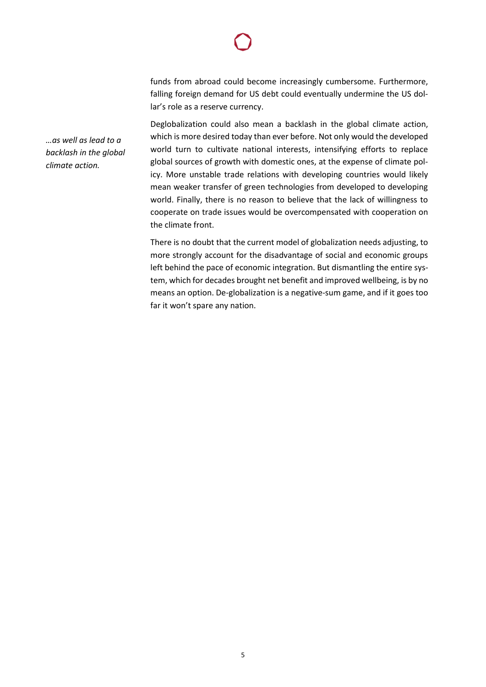funds from abroad could become increasingly cumbersome. Furthermore, falling foreign demand for US debt could eventually undermine the US dollar's role as a reserve currency.

Deglobalization could also mean a backlash in the global climate action, which is more desired today than ever before. Not only would the developed world turn to cultivate national interests, intensifying efforts to replace global sources of growth with domestic ones, at the expense of climate policy. More unstable trade relations with developing countries would likely mean weaker transfer of green technologies from developed to developing world. Finally, there is no reason to believe that the lack of willingness to cooperate on trade issues would be overcompensated with cooperation on the climate front.

There is no doubt that the current model of globalization needs adjusting, to more strongly account for the disadvantage of social and economic groups left behind the pace of economic integration. But dismantling the entire system, which for decades brought net benefit and improved wellbeing, is by no means an option. De-globalization is a negative-sum game, and if it goes too far it won't spare any nation.

*…as well as lead to a backlash in the global climate action.*